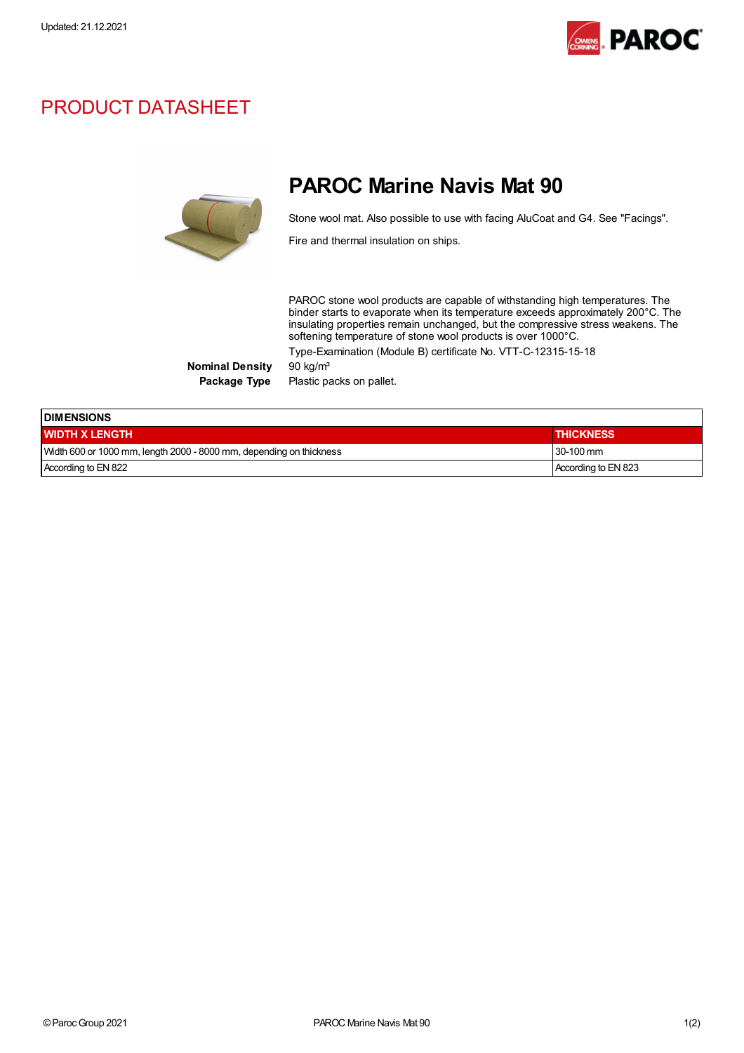

## PRODUCT DATASHEET



## PAROC Marine Navis Mat 90

Stone wool mat. Also possible to use with facing AluCoat and G4. See "Facings".

Fire and thermal insulation on ships.

PAROC stone wool products are capable of withstanding high temperatures. The binder starts to evaporate when its temperature exceeds approximately 200°C. The insulating properties remain unchanged, but the compressive stress weakens. The softening temperature of stone wool products is over 1000°C. Type-Examination (Module B) certificate No. VTT-C-12315-15-18

Nominal Density 90 kg/m<sup>3</sup>

Package Type Plastic packs on pallet.

| <b>IDIMENSIONS</b>                                                  |                     |  |
|---------------------------------------------------------------------|---------------------|--|
| <b>WIDTH X LENGTH</b>                                               | <b>THICKNESS</b>    |  |
| Width 600 or 1000 mm, length 2000 - 8000 mm, depending on thickness | $130-100$ mm        |  |
| According to EN 822                                                 | According to EN 823 |  |